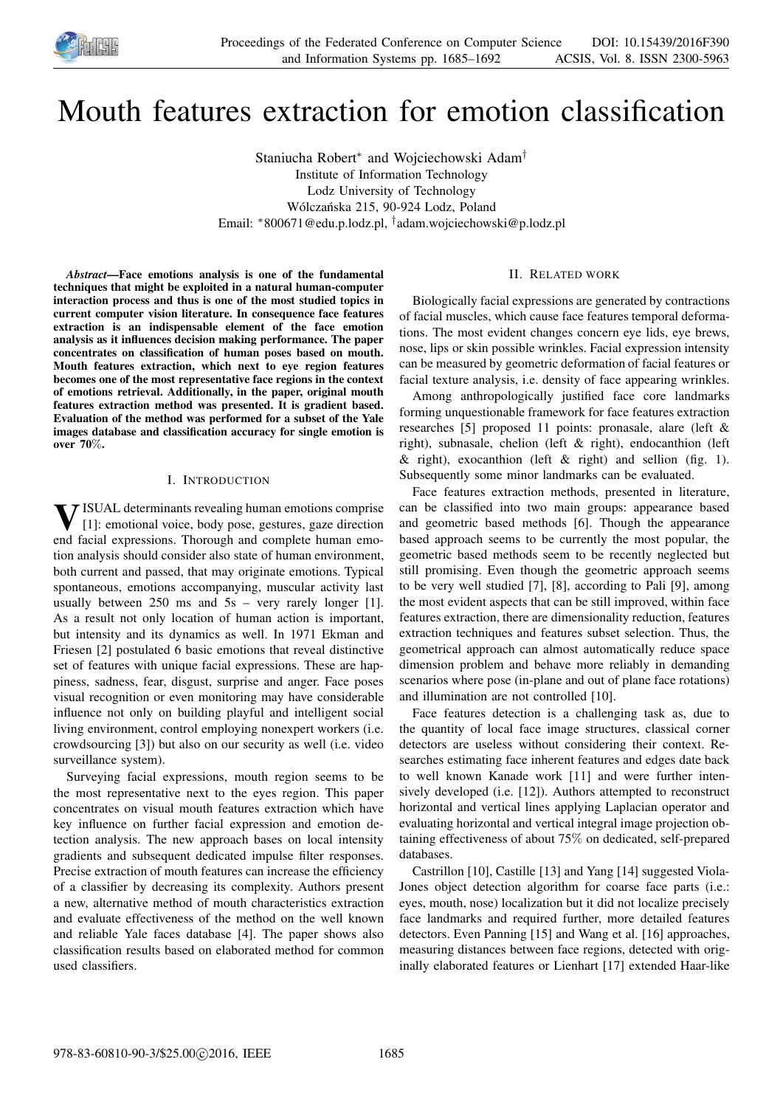

# Mouth features extraction for emotion classification

Staniucha Robert<sup>∗</sup> and Wojciechowski Adam† Institute of Information Technology Lodz University of Technology Wólczańska 215, 90-924 Lodz, Poland Email: <sup>∗</sup>800671@edu.p.lodz.pl, † adam.wojciechowski@p.lodz.pl

*Abstract*—Face emotions analysis is one of the fundamental techniques that might be exploited in a natural human-computer interaction process and thus is one of the most studied topics in current computer vision literature. In consequence face features extraction is an indispensable element of the face emotion analysis as it influences decision making performance. The paper concentrates on classification of human poses based on mouth. Mouth features extraction, which next to eye region features becomes one of the most representative face regions in the context of emotions retrieval. Additionally, in the paper, original mouth features extraction method was presented. It is gradient based. Evaluation of the method was performed for a subset of the Yale images database and classification accuracy for single emotion is over 70%.

### I. INTRODUCTION

**V** ISUAL determinants revealing human emotions comprise<br>[1]: emotional voice, body pose, gestures, gaze direction [1]: emotional voice, body pose, gestures, gaze direction end facial expressions. Thorough and complete human emotion analysis should consider also state of human environment, both current and passed, that may originate emotions. Typical spontaneous, emotions accompanying, muscular activity last usually between  $250$  ms and  $5s$  – very rarely longer [1]. As a result not only location of human action is important, but intensity and its dynamics as well. In 1971 Ekman and Friesen [2] postulated 6 basic emotions that reveal distinctive set of features with unique facial expressions. These are happiness, sadness, fear, disgust, surprise and anger. Face poses visual recognition or even monitoring may have considerable influence not only on building playful and intelligent social living environment, control employing nonexpert workers (i.e. crowdsourcing [3]) but also on our security as well (i.e. video surveillance system).

Surveying facial expressions, mouth region seems to be the most representative next to the eyes region. This paper concentrates on visual mouth features extraction which have key influence on further facial expression and emotion detection analysis. The new approach bases on local intensity gradients and subsequent dedicated impulse filter responses. Precise extraction of mouth features can increase the efficiency of a classifier by decreasing its complexity. Authors present a new, alternative method of mouth characteristics extraction and evaluate effectiveness of the method on the well known and reliable Yale faces database [4]. The paper shows also classification results based on elaborated method for common used classifiers.

# II. RELATED WORK

Biologically facial expressions are generated by contractions of facial muscles, which cause face features temporal deformations. The most evident changes concern eye lids, eye brews, nose, lips or skin possible wrinkles. Facial expression intensity can be measured by geometric deformation of facial features or facial texture analysis, i.e. density of face appearing wrinkles.

Among anthropologically justified face core landmarks forming unquestionable framework for face features extraction researches [5] proposed 11 points: pronasale, alare (left & right), subnasale, chelion (left & right), endocanthion (left & right), exocanthion (left  $\&$  right) and sellion (fig. 1). Subsequently some minor landmarks can be evaluated.

Face features extraction methods, presented in literature, can be classified into two main groups: appearance based and geometric based methods [6]. Though the appearance based approach seems to be currently the most popular, the geometric based methods seem to be recently neglected but still promising. Even though the geometric approach seems to be very well studied [7], [8], according to Pali [9], among the most evident aspects that can be still improved, within face features extraction, there are dimensionality reduction, features extraction techniques and features subset selection. Thus, the geometrical approach can almost automatically reduce space dimension problem and behave more reliably in demanding scenarios where pose (in-plane and out of plane face rotations) and illumination are not controlled [10].

Face features detection is a challenging task as, due to the quantity of local face image structures, classical corner detectors are useless without considering their context. Researches estimating face inherent features and edges date back to well known Kanade work [11] and were further intensively developed (i.e. [12]). Authors attempted to reconstruct horizontal and vertical lines applying Laplacian operator and evaluating horizontal and vertical integral image projection obtaining effectiveness of about 75% on dedicated, self-prepared databases.

Castrillon [10], Castille [13] and Yang [14] suggested Viola-Jones object detection algorithm for coarse face parts (i.e.: eyes, mouth, nose) localization but it did not localize precisely face landmarks and required further, more detailed features detectors. Even Panning [15] and Wang et al. [16] approaches, measuring distances between face regions, detected with originally elaborated features or Lienhart [17] extended Haar-like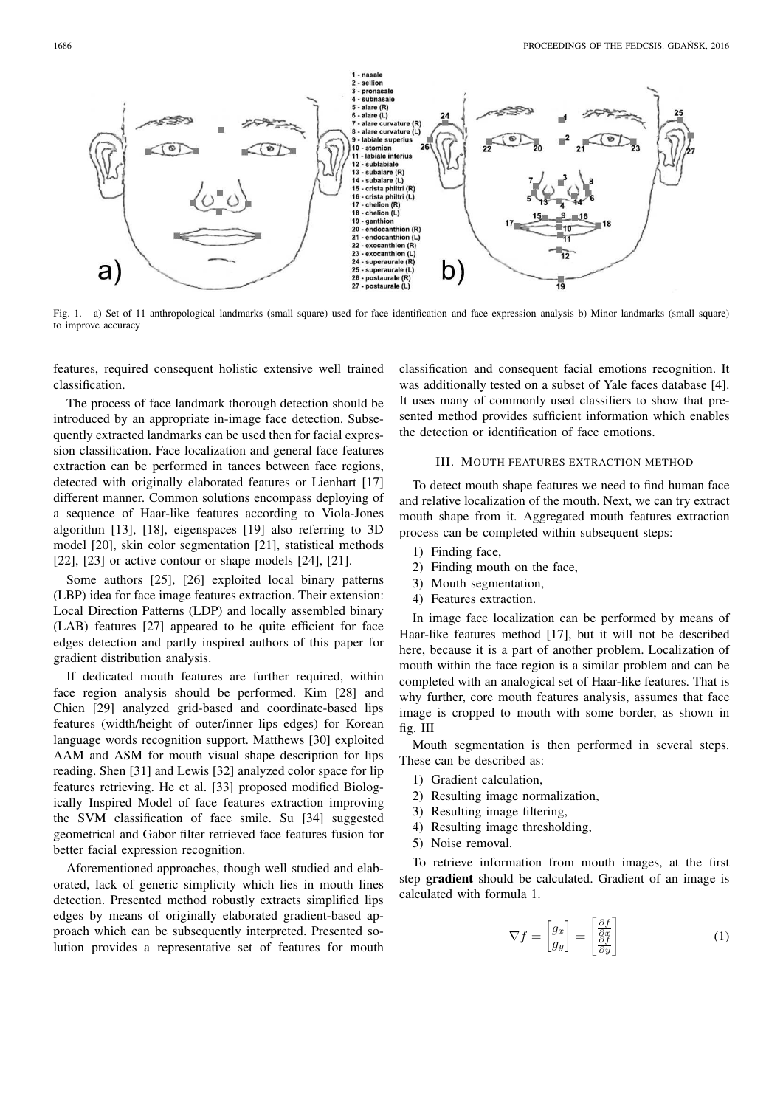

Fig. 1. a) Set of 11 anthropological landmarks (small square) used for face identification and face expression analysis b) Minor landmarks (small square) to improve accuracy

features, required consequent holistic extensive well trained classification.

The process of face landmark thorough detection should be introduced by an appropriate in-image face detection. Subsequently extracted landmarks can be used then for facial expression classification. Face localization and general face features extraction can be performed in tances between face regions, detected with originally elaborated features or Lienhart [17] different manner. Common solutions encompass deploying of a sequence of Haar-like features according to Viola-Jones algorithm [13], [18], eigenspaces [19] also referring to 3D model [20], skin color segmentation [21], statistical methods [22],  $[23]$  or active contour or shape models  $[24]$ ,  $[21]$ .

Some authors [25], [26] exploited local binary patterns (LBP) idea for face image features extraction. Their extension: Local Direction Patterns (LDP) and locally assembled binary (LAB) features [27] appeared to be quite efficient for face edges detection and partly inspired authors of this paper for gradient distribution analysis.

If dedicated mouth features are further required, within face region analysis should be performed. Kim [28] and Chien [29] analyzed grid-based and coordinate-based lips features (width/height of outer/inner lips edges) for Korean language words recognition support. Matthews [30] exploited AAM and ASM for mouth visual shape description for lips reading. Shen [31] and Lewis [32] analyzed color space for lip features retrieving. He et al. [33] proposed modified Biologically Inspired Model of face features extraction improving the SVM classification of face smile. Su [34] suggested geometrical and Gabor filter retrieved face features fusion for better facial expression recognition.

Aforementioned approaches, though well studied and elaborated, lack of generic simplicity which lies in mouth lines detection. Presented method robustly extracts simplified lips edges by means of originally elaborated gradient-based approach which can be subsequently interpreted. Presented solution provides a representative set of features for mouth classification and consequent facial emotions recognition. It was additionally tested on a subset of Yale faces database [4]. It uses many of commonly used classifiers to show that presented method provides sufficient information which enables the detection or identification of face emotions.

# III. MOUTH FEATURES EXTRACTION METHOD

To detect mouth shape features we need to find human face and relative localization of the mouth. Next, we can try extract mouth shape from it. Aggregated mouth features extraction process can be completed within subsequent steps:

- 1) Finding face,
- 2) Finding mouth on the face,
- 3) Mouth segmentation,
- 4) Features extraction.

In image face localization can be performed by means of Haar-like features method [17], but it will not be described here, because it is a part of another problem. Localization of mouth within the face region is a similar problem and can be completed with an analogical set of Haar-like features. That is why further, core mouth features analysis, assumes that face image is cropped to mouth with some border, as shown in fig. III

Mouth segmentation is then performed in several steps. These can be described as:

- 1) Gradient calculation,
- 2) Resulting image normalization,
- 3) Resulting image filtering,
- 4) Resulting image thresholding,
- 5) Noise removal.

To retrieve information from mouth images, at the first step gradient should be calculated. Gradient of an image is calculated with formula 1.

$$
\nabla f = \begin{bmatrix} g_x \\ g_y \end{bmatrix} = \begin{bmatrix} \frac{\partial f}{\partial x} \\ \frac{\partial f}{\partial y} \end{bmatrix}
$$
 (1)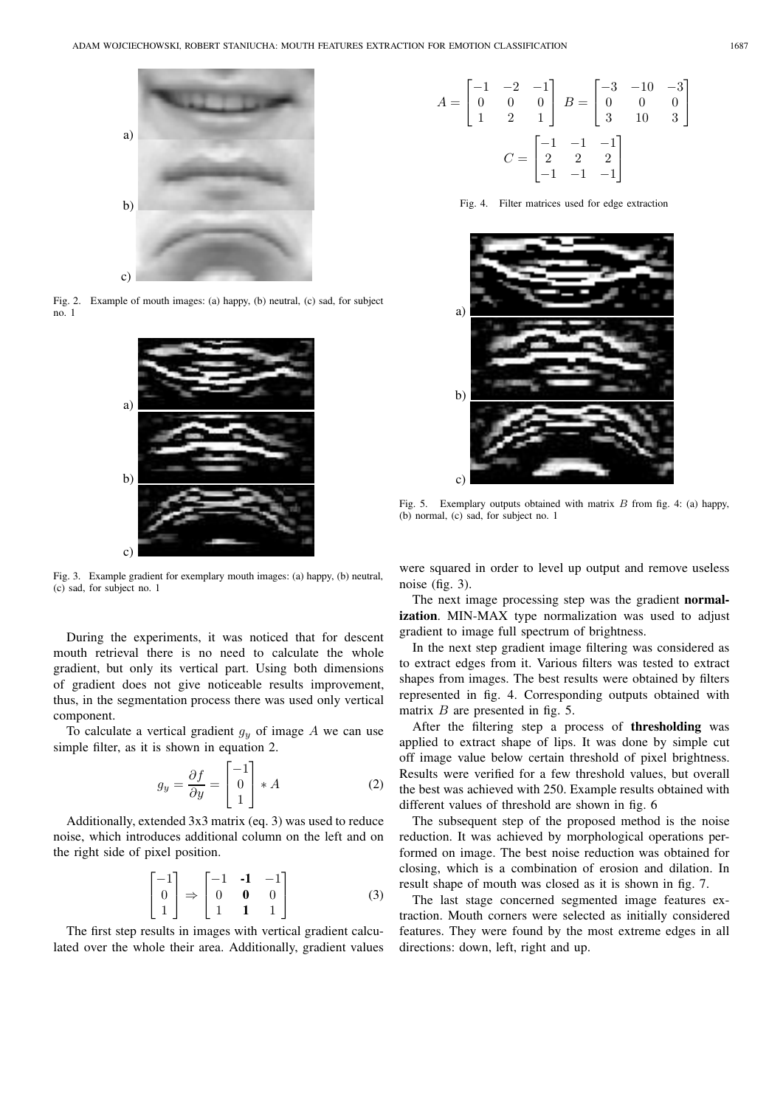

Fig. 2. Example of mouth images: (a) happy, (b) neutral, (c) sad, for subject no. 1



Fig. 3. Example gradient for exemplary mouth images: (a) happy, (b) neutral, (c) sad, for subject no. 1

During the experiments, it was noticed that for descent mouth retrieval there is no need to calculate the whole gradient, but only its vertical part. Using both dimensions of gradient does not give noticeable results improvement, thus, in the segmentation process there was used only vertical component.

To calculate a vertical gradient  $g_y$  of image A we can use simple filter, as it is shown in equation 2.

$$
g_y = \frac{\partial f}{\partial y} = \begin{bmatrix} -1\\0\\1 \end{bmatrix} * A \tag{2}
$$

Additionally, extended 3x3 matrix (eq. 3) was used to reduce noise, which introduces additional column on the left and on the right side of pixel position.

$$
\begin{bmatrix} -1 \\ 0 \\ 1 \end{bmatrix} \Rightarrow \begin{bmatrix} -1 & -1 & -1 \\ 0 & 0 & 0 \\ 1 & 1 & 1 \end{bmatrix}
$$
 (3)

The first step results in images with vertical gradient calculated over the whole their area. Additionally, gradient values

$$
A = \begin{bmatrix} -1 & -2 & -1 \\ 0 & 0 & 0 \\ 1 & 2 & 1 \end{bmatrix} \quad B = \begin{bmatrix} -3 & -10 & -3 \\ 0 & 0 & 0 \\ 3 & 10 & 3 \end{bmatrix}
$$

$$
C = \begin{bmatrix} -1 & -1 & -1 \\ 2 & 2 & 2 \\ -1 & -1 & -1 \end{bmatrix}
$$

Fig. 4. Filter matrices used for edge extraction



Fig. 5. Exemplary outputs obtained with matrix  $B$  from fig. 4: (a) happy, (b) normal, (c) sad, for subject no. 1

were squared in order to level up output and remove useless noise (fig. 3).

The next image processing step was the gradient normalization. MIN-MAX type normalization was used to adjust gradient to image full spectrum of brightness.

In the next step gradient image filtering was considered as to extract edges from it. Various filters was tested to extract shapes from images. The best results were obtained by filters represented in fig. 4. Corresponding outputs obtained with matrix  $B$  are presented in fig. 5.

After the filtering step a process of thresholding was applied to extract shape of lips. It was done by simple cut off image value below certain threshold of pixel brightness. Results were verified for a few threshold values, but overall the best was achieved with 250. Example results obtained with different values of threshold are shown in fig. 6

The subsequent step of the proposed method is the noise reduction. It was achieved by morphological operations performed on image. The best noise reduction was obtained for closing, which is a combination of erosion and dilation. In result shape of mouth was closed as it is shown in fig. 7.

The last stage concerned segmented image features extraction. Mouth corners were selected as initially considered features. They were found by the most extreme edges in all directions: down, left, right and up.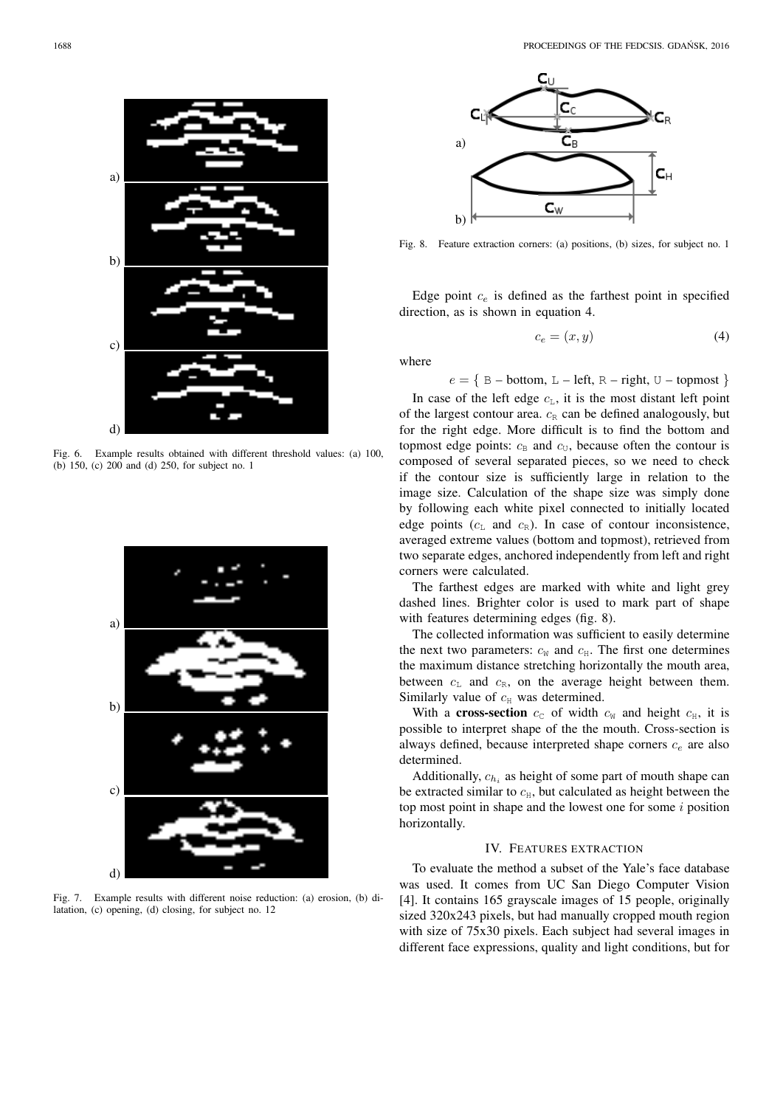

Fig. 6. Example results obtained with different threshold values: (a) 100, (b) 150, (c) 200 and (d) 250, for subject no. 1



Fig. 7. Example results with different noise reduction: (a) erosion, (b) dilatation, (c) opening, (d) closing, for subject no. 12



Fig. 8. Feature extraction corners: (a) positions, (b) sizes, for subject no. 1

Edge point  $c_e$  is defined as the farthest point in specified direction, as is shown in equation 4.

$$
c_e = (x, y) \tag{4}
$$

where

 $e = \{ B - bottom, L - left, R - right, U - topmost \}$ 

In case of the left edge  $c<sub>L</sub>$ , it is the most distant left point of the largest contour area.  $c_R$  can be defined analogously, but for the right edge. More difficult is to find the bottom and topmost edge points:  $c_B$  and  $c_U$ , because often the contour is composed of several separated pieces, so we need to check if the contour size is sufficiently large in relation to the image size. Calculation of the shape size was simply done by following each white pixel connected to initially located edge points  $(c<sub>L</sub>$  and  $c<sub>R</sub>$ ). In case of contour inconsistence, averaged extreme values (bottom and topmost), retrieved from two separate edges, anchored independently from left and right corners were calculated.

The farthest edges are marked with white and light grey dashed lines. Brighter color is used to mark part of shape with features determining edges (fig. 8).

The collected information was sufficient to easily determine the next two parameters:  $c_W$  and  $c_H$ . The first one determines the maximum distance stretching horizontally the mouth area, between  $c<sub>L</sub>$  and  $c<sub>R</sub>$ , on the average height between them. Similarly value of  $c_H$  was determined.

With a cross-section  $c_c$  of width  $c_w$  and height  $c_H$ , it is possible to interpret shape of the the mouth. Cross-section is always defined, because interpreted shape corners  $c_e$  are also determined.

Additionally,  $c_{h_i}$  as height of some part of mouth shape can be extracted similar to  $c_H$ , but calculated as height between the top most point in shape and the lowest one for some  $i$  position horizontally.

# IV. FEATURES EXTRACTION

To evaluate the method a subset of the Yale's face database was used. It comes from UC San Diego Computer Vision [4]. It contains 165 grayscale images of 15 people, originally sized 320x243 pixels, but had manually cropped mouth region with size of 75x30 pixels. Each subject had several images in different face expressions, quality and light conditions, but for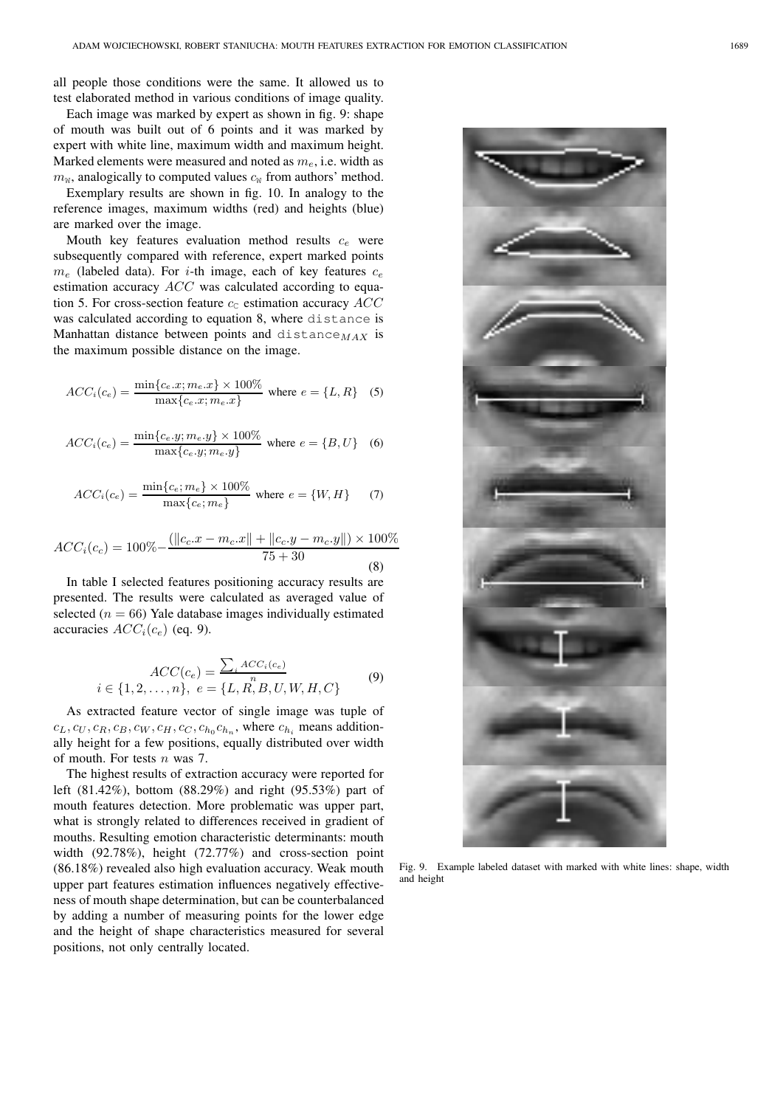all people those conditions were the same. It allowed us to test elaborated method in various conditions of image quality.

Each image was marked by expert as shown in fig. 9: shape of mouth was built out of 6 points and it was marked by expert with white line, maximum width and maximum height. Marked elements were measured and noted as  $m_e$ , i.e. width as  $m_W$ , analogically to computed values  $c_W$  from authors' method.

Exemplary results are shown in fig. 10. In analogy to the reference images, maximum widths (red) and heights (blue) are marked over the image.

Mouth key features evaluation method results  $c_e$  were subsequently compared with reference, expert marked points  $m_e$  (labeled data). For *i*-th image, each of key features  $c_e$ estimation accuracy ACC was calculated according to equation 5. For cross-section feature  $c_c$  estimation accuracy  $ACC$ was calculated according to equation 8, where distance is Manhattan distance between points and distance  $_{MAX}$  is the maximum possible distance on the image.

$$
ACC_i(c_e) = \frac{\min\{c_e.x; m_e.x\} \times 100\%}{\max\{c_e.x; m_e.x\}} \text{ where } e = \{L, R\} \quad (5)
$$

$$
ACC_i(c_e) = \frac{\min\{c_e.y; m_e.y\} \times 100\%}{\max\{c_e.y; m_e.y\}} \text{ where } e = \{B, U\} \quad (6)
$$

$$
ACC_i(c_e) = \frac{\min\{c_e; m_e\} \times 100\%}{\max\{c_e; m_e\}} \text{ where } e = \{W, H\} \tag{7}
$$

$$
ACC_i(c_c) = 100\% - \frac{(\|c_c.x - m_c.x\| + \|c_c.y - m_c.y\|) \times 100\%}{75 + 30}
$$
(8)

In table I selected features positioning accuracy results are presented. The results were calculated as averaged value of selected ( $n = 66$ ) Yale database images individually estimated accuracies  $ACC<sub>i</sub>(c<sub>e</sub>)$  (eq. 9).

$$
ACC(c_e) = \frac{\sum_{i} ACC_i(c_e)}{n}
$$
  
 $i \in \{1, 2, ..., n\}, e = \{L, R, B, U, W, H, C\}$  (9)

As extracted feature vector of single image was tuple of  $c_L, c_U, c_R, c_B, c_W, c_H, c_C, c_{h_0}c_{h_n}$ , where  $c_{h_i}$  means additionally height for a few positions, equally distributed over width of mouth. For tests  $n$  was 7.

The highest results of extraction accuracy were reported for left (81.42%), bottom (88.29%) and right (95.53%) part of mouth features detection. More problematic was upper part, what is strongly related to differences received in gradient of mouths. Resulting emotion characteristic determinants: mouth width (92.78%), height (72.77%) and cross-section point (86.18%) revealed also high evaluation accuracy. Weak mouth upper part features estimation influences negatively effectiveness of mouth shape determination, but can be counterbalanced by adding a number of measuring points for the lower edge and the height of shape characteristics measured for several positions, not only centrally located.



Fig. 9. Example labeled dataset with marked with white lines: shape, width and height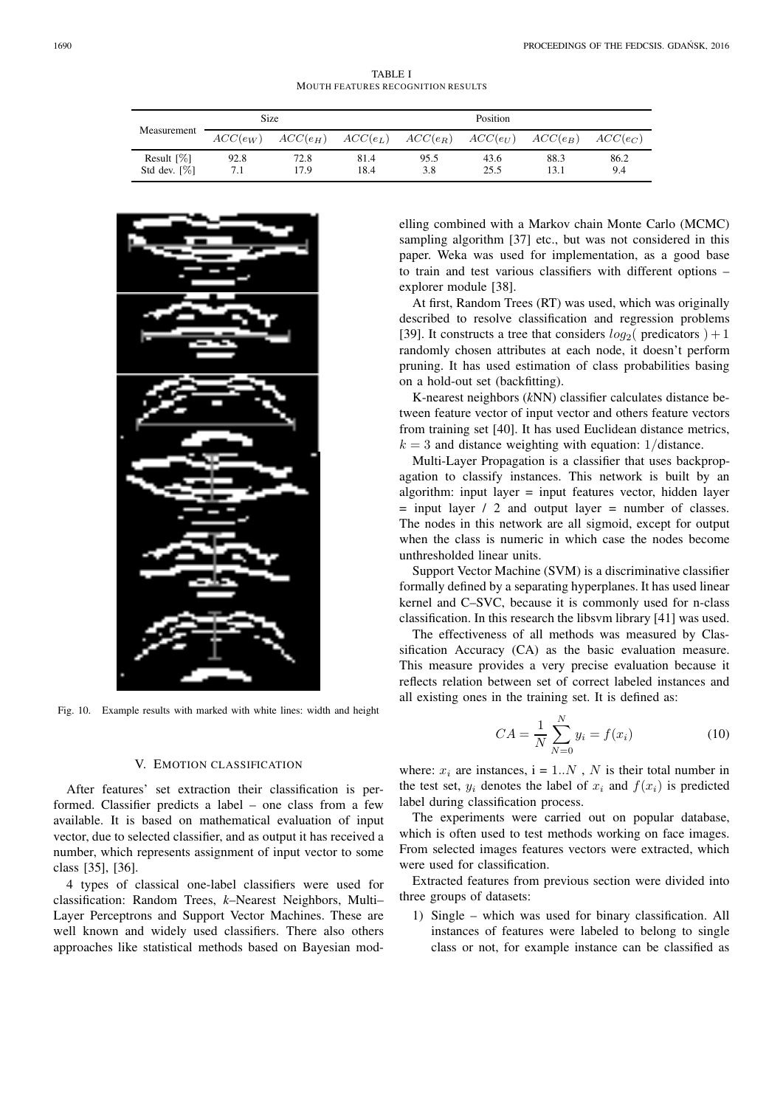TABLE I MOUTH FEATURES RECOGNITION RESULTS

| Measurement                                 | <b>Size</b> |              | Position     |                                  |                           |              |             |
|---------------------------------------------|-------------|--------------|--------------|----------------------------------|---------------------------|--------------|-------------|
|                                             | $ACC(e_W)$  |              |              | $ACC(e_H)$ $ACC(e_L)$ $ACC(e_R)$ | $ACC(e_{U})$ $ACC(e_{B})$ |              | $ACC(e_C)$  |
| Result $\lceil \% \rceil$<br>Std dev. $[%]$ | 92.8<br>7.1 | 72.8<br>17.9 | 81.4<br>18.4 | 95.5<br>3.8                      | 43.6<br>25.5              | 88.3<br>13.1 | 86.2<br>9.4 |



Fig. 10. Example results with marked with white lines: width and height

#### V. EMOTION CLASSIFICATION

After features' set extraction their classification is performed. Classifier predicts a label – one class from a few available. It is based on mathematical evaluation of input vector, due to selected classifier, and as output it has received a number, which represents assignment of input vector to some class [35], [36].

4 types of classical one-label classifiers were used for classification: Random Trees, *k*–Nearest Neighbors, Multi– Layer Perceptrons and Support Vector Machines. These are well known and widely used classifiers. There also others approaches like statistical methods based on Bayesian modelling combined with a Markov chain Monte Carlo (MCMC) sampling algorithm [37] etc., but was not considered in this paper. Weka was used for implementation, as a good base to train and test various classifiers with different options – explorer module [38].

At first, Random Trees (RT) was used, which was originally described to resolve classification and regression problems [39]. It constructs a tree that considers  $log_2$  (predicators ) + 1 randomly chosen attributes at each node, it doesn't perform pruning. It has used estimation of class probabilities basing on a hold-out set (backfitting).

K-nearest neighbors (*k*NN) classifier calculates distance between feature vector of input vector and others feature vectors from training set [40]. It has used Euclidean distance metrics,  $k = 3$  and distance weighting with equation: 1/distance.

Multi-Layer Propagation is a classifier that uses backpropagation to classify instances. This network is built by an algorithm: input layer = input features vector, hidden layer  $=$  input layer / 2 and output layer  $=$  number of classes. The nodes in this network are all sigmoid, except for output when the class is numeric in which case the nodes become unthresholded linear units.

Support Vector Machine (SVM) is a discriminative classifier formally defined by a separating hyperplanes. It has used linear kernel and C–SVC, because it is commonly used for n-class classification. In this research the libsvm library [41] was used.

The effectiveness of all methods was measured by Classification Accuracy (CA) as the basic evaluation measure. This measure provides a very precise evaluation because it reflects relation between set of correct labeled instances and all existing ones in the training set. It is defined as:

$$
CA = \frac{1}{N} \sum_{N=0}^{N} y_i = f(x_i)
$$
 (10)

where:  $x_i$  are instances,  $i = 1..N$ , N is their total number in the test set,  $y_i$  denotes the label of  $x_i$  and  $f(x_i)$  is predicted label during classification process.

The experiments were carried out on popular database, which is often used to test methods working on face images. From selected images features vectors were extracted, which were used for classification.

Extracted features from previous section were divided into three groups of datasets:

1) Single – which was used for binary classification. All instances of features were labeled to belong to single class or not, for example instance can be classified as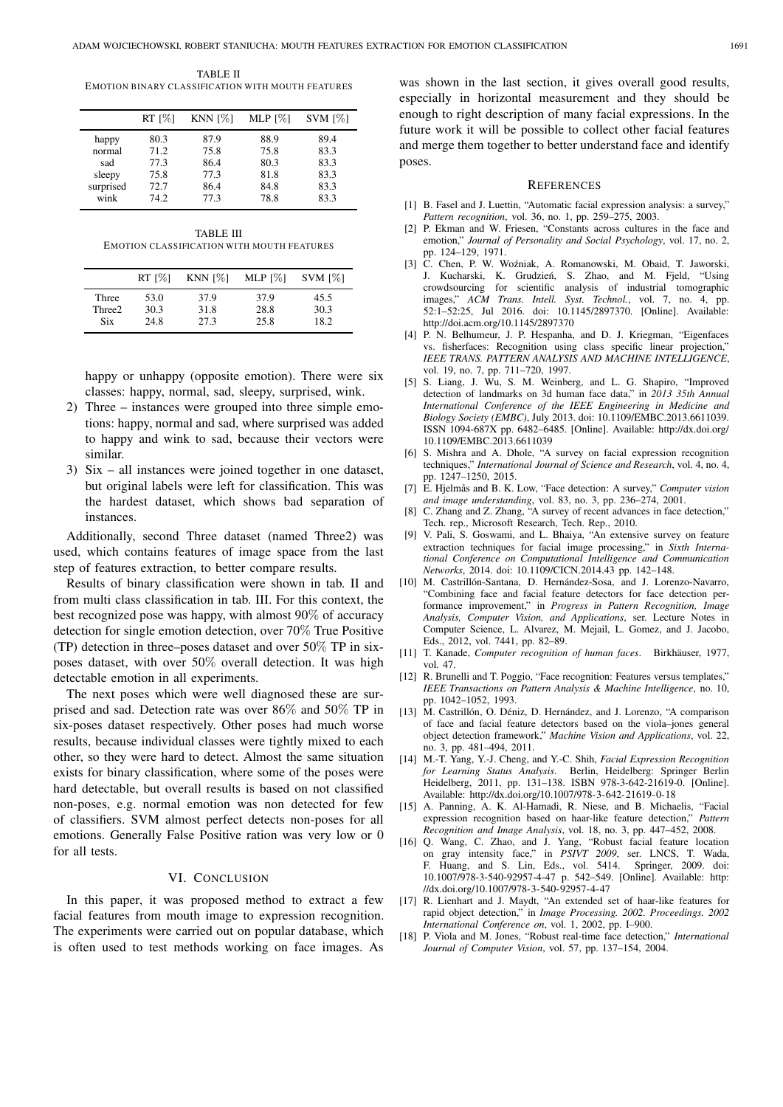TABLE II EMOTION BINARY CLASS IFICATION WITH MOUTH FEATURES

|           | RT [%] | KNN $[%]$ | MLP $[%]$ | $SVM$ $[\%]$ |
|-----------|--------|-----------|-----------|--------------|
| happy     | 80.3   | 87.9      | 88.9      | 89.4         |
| normal    | 71.2   | 75.8      | 75.8      | 83.3         |
| sad       | 77.3   | 86.4      | 80.3      | 83.3         |
| sleepy    | 75.8   | 77.3      | 81.8      | 83.3         |
| surprised | 72.7   | 86.4      | 84.8      | 83.3         |
| wink      | 74.2   | 77.3      | 78.8      | 83.3         |

TABLE III EMOTION CLASS IFICATION WITH MOUTH FEATURES

|            | $RT$ [%] | KNN $[%]$ | MLP $\lceil\% \rceil$ | $SVM$ $[%]$ |
|------------|----------|-----------|-----------------------|-------------|
| Three      | 53.0     | 37.9      | 37.9                  | 45.5        |
| Three2     | 30.3     | 31.8      | 28.8                  | 30.3        |
| <b>Six</b> | 24.8     | 27.3      | 25.8                  | 18.2        |

happy or unhappy (opposite emotion). There were six classes: happy, normal, sad, sleepy, surprised, wink.

- 2) Three instances were grouped into three simple emotions: happy, normal and sad, where surprised was added to happy and wink to sad, because their vectors were similar.
- 3) Six all instances were joined together in one dataset, but original labels were left for classification. This was the hardest dataset, which shows bad separation of instances.

Additionally, second Three dataset (named Three2) was used, which contains features of image space from the last step of features extraction, to better compare results.

Results of binary classification were shown in tab. II and from multi class classification in tab. III. For this context, the best recognized pose was happy, with almost 90% of accuracy detection for single emotion detection, over 70% True Positive (TP) detection in three–poses dataset and over 50% TP in sixposes dataset, with over 50% overall detection. It was high detectable emotion in all experiments.

The next poses which were well diagnosed these are surprised and sad. Detection rate was over 86% and 50% TP in six-poses dataset respectively. Other poses had much worse results, because individual classes were tightly mixed to each other, so they were hard to detect. Almost the same situation exists for binary classification, where some of the poses were hard detectable, but overall results is based on not classified non-poses, e.g. normal emotion was non detected for few of classifiers. SVM almost perfect detects non-poses for all emotions. Generally False Positive ration was very low or 0 for all tests.

#### VI. CONCLUSION

In this paper, it was proposed method to extract a few facial features from mouth image to expression recognition. The experiments were carried out on popular database, which is often used to test methods working on face images. As

was shown in the last section, it gives overall good results, especially in horizontal measurement and they should be enough to right description of many facial expressions. In the future work it will be possible to collect other facial features and merge them together to better understand face and identify poses.

#### **REFERENCES**

- [1] B. Fasel and J. Luettin, "Automatic facial expression analysis: a survey," *Pattern recognition*, vol. 36, no. 1, pp. 259–275, 2003.
- [2] P. Ekman and W. Friesen, "Constants across cultures in the face and emotion," *Journal of Personality and Social Psychology*, vol. 17, no. 2, pp. 124–129, 1971.
- [3] C. Chen, P. W. Woźniak, A. Romanowski, M. Obaid, T. Jaworski, J. Kucharski, K. Grudzień, S. Zhao, and M. Fjeld, "Using crowdsourcing for scientific analysis of industrial tomographic crowdsourcing for scientific analysis of industrial tomographic images," ACM Trans. Intell. Syst. Technol., vol. 7, no. 4, pp. *Syst. Technol.*, vol. 7, no. 4, pp. 52:1–52:25, Jul 2016. doi: 10.1145/2897370. [Online]. Available: http://doi.acm.org/10.1145/2897370
- [4] P. N. Belhumeur, J. P. Hespanha, and D. J. Kriegman, "Eigenfaces vs. fisherfaces: Recognition using class specific linear projection, *IEEE TRANS. PATTERN ANALYSIS AND MACHINE INTELLIGENCE*, vol. 19, no. 7, pp. 711–720, 1997.
- [5] S. Liang, J. Wu, S. M. Weinberg, and L. G. Shapiro, "Improved detection of landmarks on 3d human face data," in *2013 35th Annual International Conference of the IEEE Engineering in Medicine and Biology Society (EMBC)*, July 2013. doi: 10.1109/EMBC.2013.6611039. ISSN 1094-687X pp. 6482–6485. [Online]. Available: http://dx.doi.org/ 10.1109/EMBC.2013.6611039
- [6] S. Mishra and A. Dhole, "A survey on facial expression recognition techniques," *International Journal of Science and Research*, vol. 4, no. 4, pp. 1247–1250, 2015.
- [7] E. Hjelmås and B. K. Low, "Face detection: A survey," *Computer vision and image understanding*, vol. 83, no. 3, pp. 236–274, 2001.
- [8] C. Zhang and Z. Zhang, "A survey of recent advances in face detection," Tech. rep., Microsoft Research, Tech. Rep., 2010.
- [9] V. Pali, S. Goswami, and L. Bhaiya, "An extensive survey on feature extraction techniques for facial image processing," in *Sixth International Conference on Computational Intelligence and Communication Networks*, 2014. doi: 10.1109/CICN.2014.43 pp. 142–148.
- [10] M. Castrillón-Santana, D. Hernández-Sosa, and J. Lorenzo-Navarro, "Combining face and facial feature detectors for face detection performance improvement," in *Progress in Pattern Recognition, Image Analysis, Computer Vision, and Applications*, ser. Lecture Notes in Computer Science, L. Alvarez, M. Mejail, L. Gomez, and J. Jacobo, Eds., 2012, vol. 7441, pp. 82–89.
- [11] T. Kanade, *Computer recognition of human faces*. Birkhäuser, 1977, vol. 47.
- [12] R. Brunelli and T. Poggio, "Face recognition: Features versus templates," *IEEE Transactions on Pattern Analysis & Machine Intelligence*, no. 10, pp. 1042–1052, 1993.
- [13] M. Castrillón, O. Déniz, D. Hernández, and J. Lorenzo, "A comparison of face and facial feature detectors based on the viola–jones general object detection framework," *Machine Vision and Applications*, vol. 22, no. 3, pp. 481–494, 2011.
- [14] M.-T. Yang, Y.-J. Cheng, and Y.-C. Shih, *Facial Expression Recognition for Learning Status Analysis*. Berlin, Heidelberg: Springer Berlin Heidelberg, 2011, pp. 131–138. ISBN 978-3-642-21619-0. [Online]. Available: http://dx.doi.org/10.1007/978-3-642-21619-0-18
- [15] A. Panning, A. K. Al-Hamadi, R. Niese, and B. Michaelis, "Facial expression recognition based on haar-like feature detection," *Pattern Recognition and Image Analysis*, vol. 18, no. 3, pp. 447–452, 2008.
- [16] Q. Wang, C. Zhao, and J. Yang, "Robust facial feature location on gray intensity face," in *PSIVT 2009*, ser. LNCS, T. Wada, F. Huang, and S. Lin, Eds., vol. 5414. Springer, 2009. doi: 10.1007/978-3-540-92957-4-47 p. 542–549. [Online]. Available: http: //dx.doi.org/10.1007/978-3-540-92957-4-47
- [17] R. Lienhart and J. Maydt, "An extended set of haar-like features for rapid object detection," in *Image Processing. 2002. Proceedings. 2002 International Conference on*, vol. 1, 2002, pp. I–900.
- [18] P. Viola and M. Jones, "Robust real-time face detection," *International Journal of Computer Vision*, vol. 57, pp. 137–154, 2004.